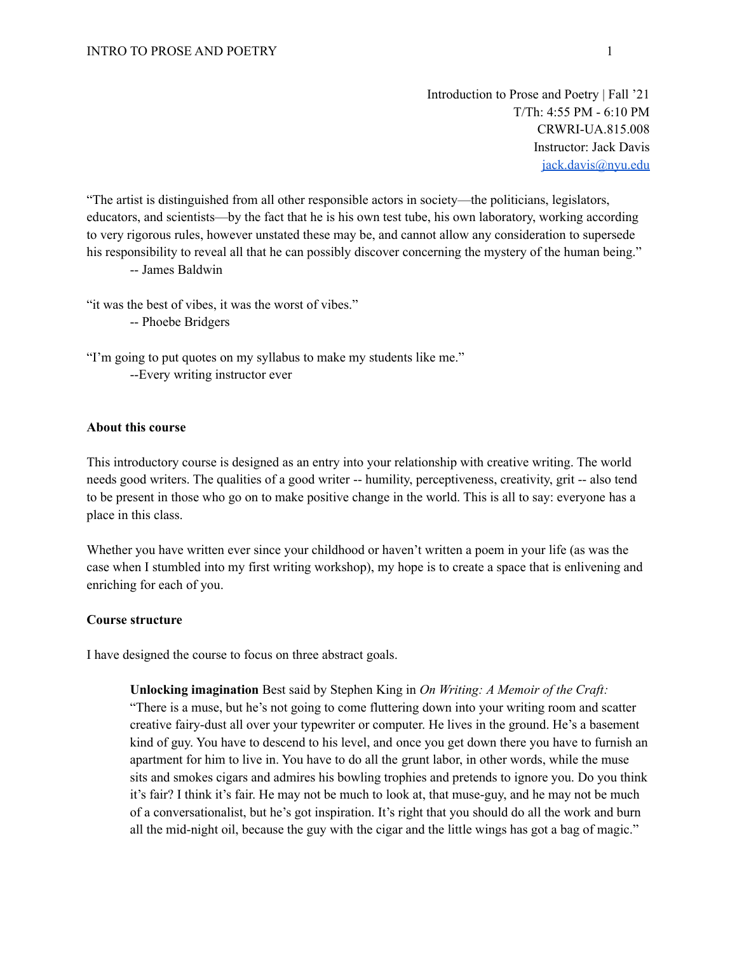Introduction to Prose and Poetry | Fall '21 T/Th: 4:55 PM - 6:10 PM CRWRI-UA.815.008 Instructor: Jack Davis [jack.davis@nyu.edu](mailto:jack.davis@nyu.edu)

"The artist is distinguished from all other responsible actors in society—the politicians, legislators, educators, and scientists—by the fact that he is his own test tube, his own laboratory, working according to very rigorous rules, however unstated these may be, and cannot allow any consideration to supersede his responsibility to reveal all that he can possibly discover concerning the mystery of the human being."

-- James Baldwin

"it was the best of vibes, it was the worst of vibes."

-- Phoebe Bridgers

"I'm going to put quotes on my syllabus to make my students like me." --Every writing instructor ever

#### **About this course**

This introductory course is designed as an entry into your relationship with creative writing. The world needs good writers. The qualities of a good writer -- humility, perceptiveness, creativity, grit -- also tend to be present in those who go on to make positive change in the world. This is all to say: everyone has a place in this class.

Whether you have written ever since your childhood or haven't written a poem in your life (as was the case when I stumbled into my first writing workshop), my hope is to create a space that is enlivening and enriching for each of you.

### **Course structure**

I have designed the course to focus on three abstract goals.

**Unlocking imagination** Best said by Stephen King in *On Writing: A Memoir of the Craft:*

"There is a muse, but he's not going to come fluttering down into your writing room and scatter creative fairy-dust all over your typewriter or computer. He lives in the ground. He's a basement kind of guy. You have to descend to his level, and once you get down there you have to furnish an apartment for him to live in. You have to do all the grunt labor, in other words, while the muse sits and smokes cigars and admires his bowling trophies and pretends to ignore you. Do you think it's fair? I think it's fair. He may not be much to look at, that muse-guy, and he may not be much of a conversationalist, but he's got inspiration. It's right that you should do all the work and burn all the mid-night oil, because the guy with the cigar and the little wings has got a bag of magic."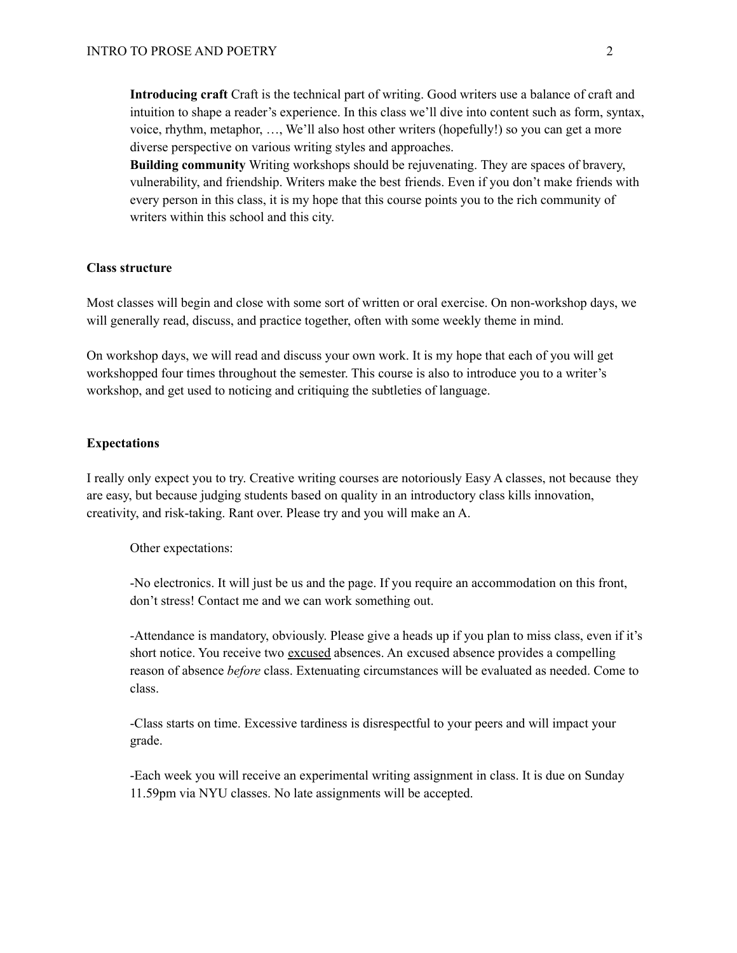**Introducing craft** Craft is the technical part of writing. Good writers use a balance of craft and intuition to shape a reader's experience. In this class we'll dive into content such as form, syntax, voice, rhythm, metaphor, …, We'll also host other writers (hopefully!) so you can get a more diverse perspective on various writing styles and approaches.

**Building community** Writing workshops should be rejuvenating. They are spaces of bravery, vulnerability, and friendship. Writers make the best friends. Even if you don't make friends with every person in this class, it is my hope that this course points you to the rich community of writers within this school and this city.

#### **Class structure**

Most classes will begin and close with some sort of written or oral exercise. On non-workshop days, we will generally read, discuss, and practice together, often with some weekly theme in mind.

On workshop days, we will read and discuss your own work. It is my hope that each of you will get workshopped four times throughout the semester. This course is also to introduce you to a writer's workshop, and get used to noticing and critiquing the subtleties of language.

#### **Expectations**

I really only expect you to try. Creative writing courses are notoriously Easy A classes, not because they are easy, but because judging students based on quality in an introductory class kills innovation, creativity, and risk-taking. Rant over. Please try and you will make an A.

Other expectations:

-No electronics. It will just be us and the page. If you require an accommodation on this front, don't stress! Contact me and we can work something out.

-Attendance is mandatory, obviously. Please give a heads up if you plan to miss class, even if it's short notice. You receive two excused absences. An excused absence provides a compelling reason of absence *before* class. Extenuating circumstances will be evaluated as needed. Come to class.

-Class starts on time. Excessive tardiness is disrespectful to your peers and will impact your grade.

-Each week you will receive an experimental writing assignment in class. It is due on Sunday 11.59pm via NYU classes. No late assignments will be accepted.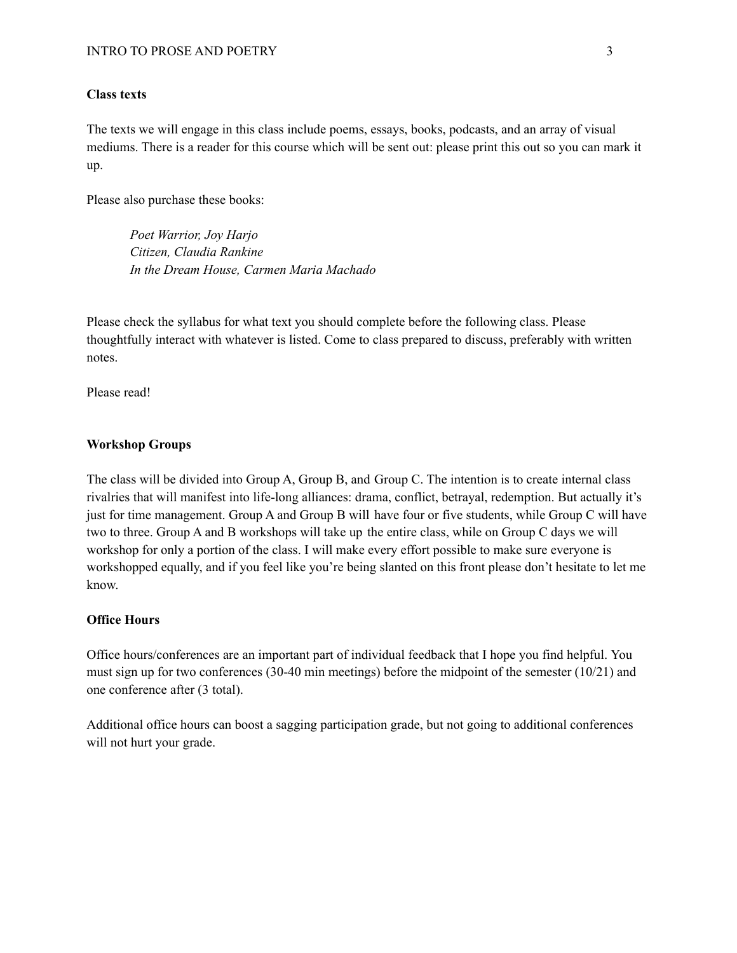#### **Class texts**

The texts we will engage in this class include poems, essays, books, podcasts, and an array of visual mediums. There is a reader for this course which will be sent out: please print this out so you can mark it up.

Please also purchase these books:

*Poet Warrior, Joy Harjo Citizen, Claudia Rankine In the Dream House, Carmen Maria Machado*

Please check the syllabus for what text you should complete before the following class. Please thoughtfully interact with whatever is listed. Come to class prepared to discuss, preferably with written notes.

Please read!

### **Workshop Groups**

The class will be divided into Group A, Group B, and Group C. The intention is to create internal class rivalries that will manifest into life-long alliances: drama, conflict, betrayal, redemption. But actually it's just for time management. Group A and Group B will have four or five students, while Group C will have two to three. Group A and B workshops will take up the entire class, while on Group C days we will workshop for only a portion of the class. I will make every effort possible to make sure everyone is workshopped equally, and if you feel like you're being slanted on this front please don't hesitate to let me know.

#### **Office Hours**

Office hours/conferences are an important part of individual feedback that I hope you find helpful. You must sign up for two conferences (30-40 min meetings) before the midpoint of the semester (10/21) and one conference after (3 total).

Additional office hours can boost a sagging participation grade, but not going to additional conferences will not hurt your grade.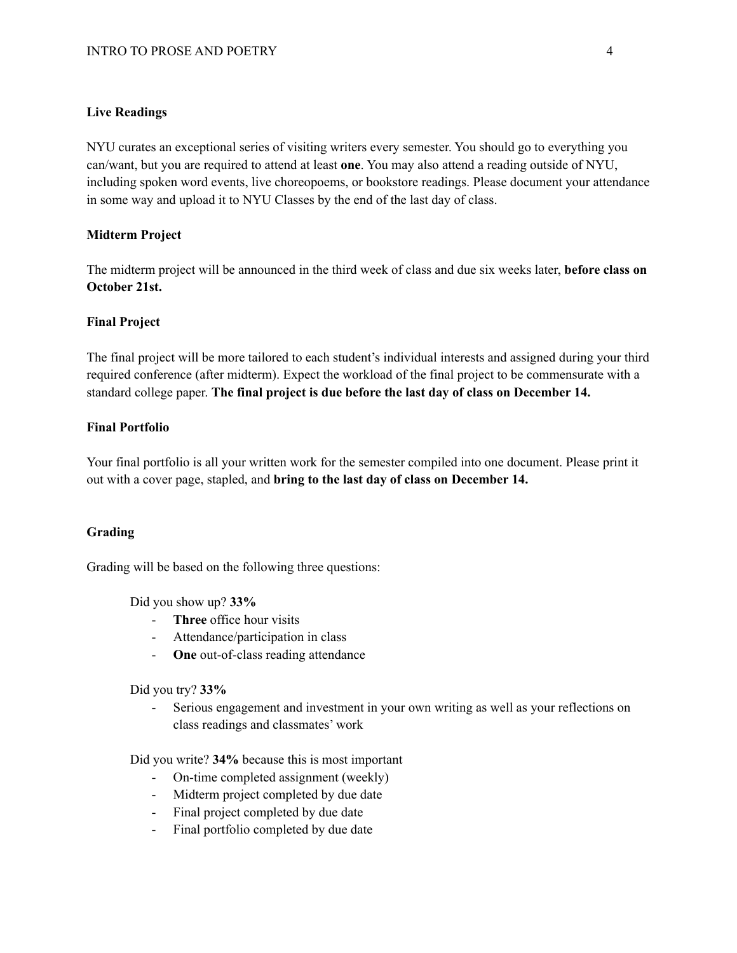### **Live Readings**

NYU curates an exceptional series of visiting writers every semester. You should go to everything you can/want, but you are required to attend at least **one**. You may also attend a reading outside of NYU, including spoken word events, live choreopoems, or bookstore readings. Please document your attendance in some way and upload it to NYU Classes by the end of the last day of class.

### **Midterm Project**

The midterm project will be announced in the third week of class and due six weeks later, **before class on October 21st.**

#### **Final Project**

The final project will be more tailored to each student's individual interests and assigned during your third required conference (after midterm). Expect the workload of the final project to be commensurate with a standard college paper. **The final project is due before the last day of class on December 14.**

### **Final Portfolio**

Your final portfolio is all your written work for the semester compiled into one document. Please print it out with a cover page, stapled, and **bring to the last day of class on December 14.**

#### **Grading**

Grading will be based on the following three questions:

Did you show up? **33%**

- **Three** office hour visits
- Attendance/participation in class
- **One** out-of-class reading attendance

Did you try? **33%**

- Serious engagement and investment in your own writing as well as your reflections on class readings and classmates' work

Did you write? **34%** because this is most important

- On-time completed assignment (weekly)
- Midterm project completed by due date
- Final project completed by due date
- Final portfolio completed by due date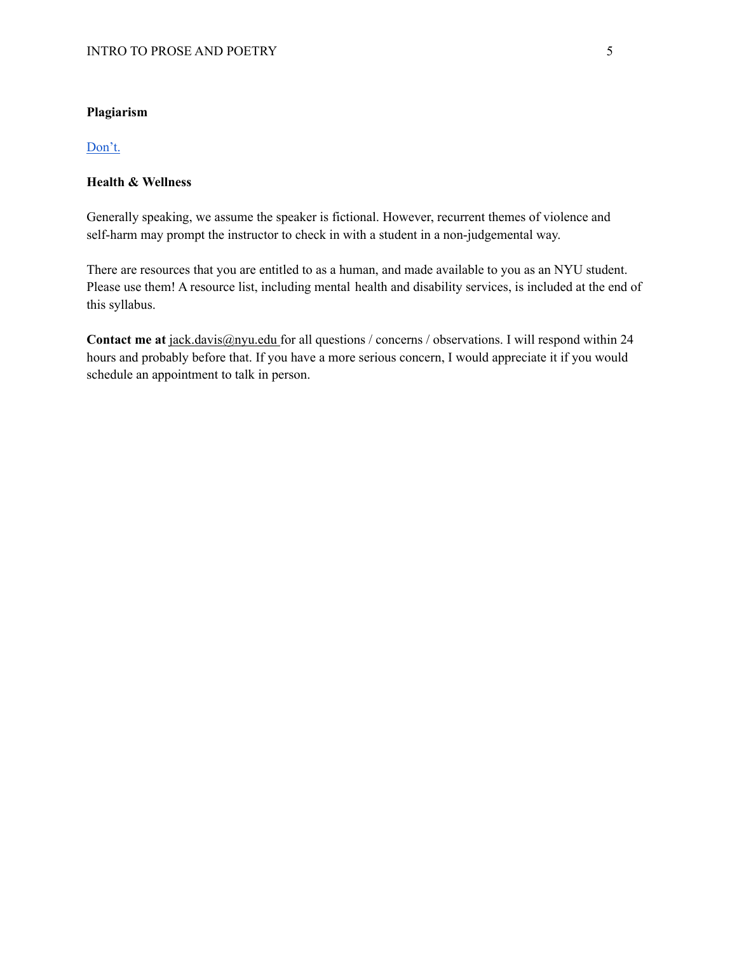# **Plagiarism**

# [Don't.](https://www.nyu.edu/about/policies-guidelines-compliance/policies-and-guidelines/academic-integrity-for-students-at-nyu.html)

# **Health & Wellness**

Generally speaking, we assume the speaker is fictional. However, recurrent themes of violence and self-harm may prompt the instructor to check in with a student in a non-judgemental way.

There are resources that you are entitled to as a human, and made available to you as an NYU student. Please use them! A resource list, including mental health and disability services, is included at the end of this syllabus.

**Contact me at** [jack.davis@nyu.edu](mailto:jack.davis@nyu.edu) for all questions / concerns / observations. I will respond within 24 hours and probably before that. If you have a more serious concern, I would appreciate it if you would schedule an appointment to talk in person.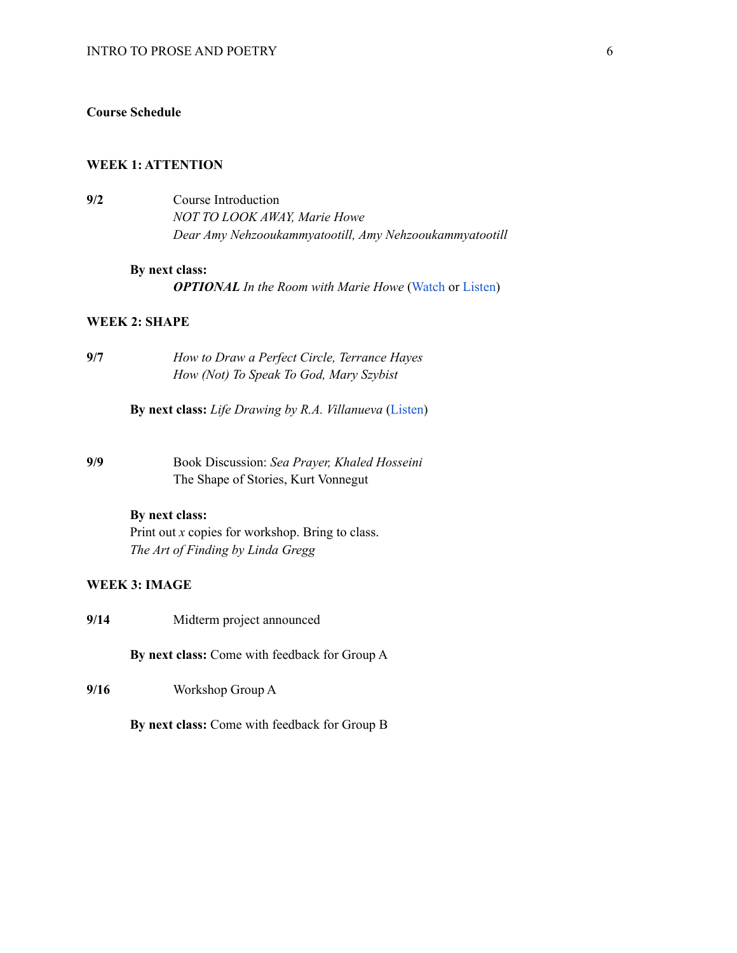### **Course Schedule**

#### **WEEK 1: ATTENTION**

**9/2** Course Introduction *NOT TO LOOK AWAY, Marie Howe Dear Amy Nehzooukammyatootill, Amy Nehzooukammyatootill*

#### **By next class:**

*OPTIONAL In the Room with Marie Howe* [\(Watch](https://www.youtube.com/watch?v=1qaFPX6upy8) or [Listen](https://onbeing.org/programs/marie-howe-the-power-of-words-to-save-us-may2017/))

# **WEEK 2: SHAPE**

**9/7** *How to Draw a Perfect Circle, Terrance Hayes How (Not) To Speak To God, Mary Szybist*

**By next class:** *Life Drawing by R.A. Villanueva* ([Listen](https://onbeing.org/programs/r-a-villanueva-life-drawing/))

**9/9** Book Discussion: *Sea Prayer, Khaled Hosseini* The Shape of Stories, Kurt Vonnegut

#### **By next class:**

Print out *x* copies for workshop. Bring to class. *The Art of Finding by Linda Gregg*

# **WEEK 3: IMAGE**

**9/14** Midterm project announced

**By next class:** Come with feedback for Group A

**9/16** Workshop Group A

**By next class:** Come with feedback for Group B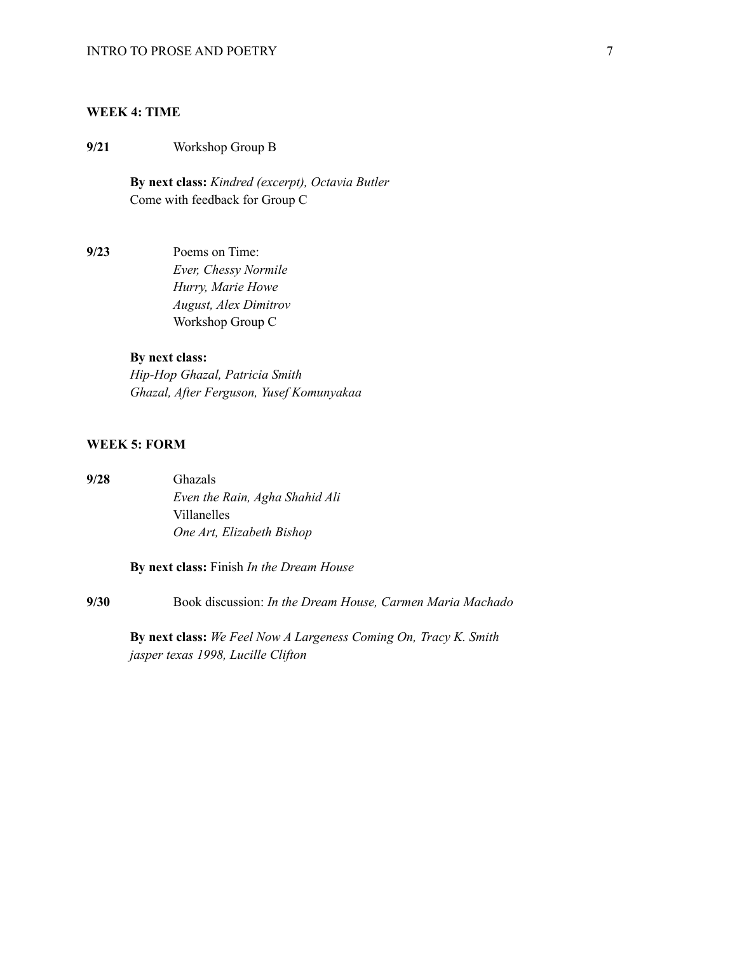# **WEEK 4: TIME**

**9/21** Workshop Group B

**By next class:** *Kindred (excerpt), Octavia Butler* Come with feedback for Group C

**9/23** Poems on Time: *Ever, Chessy Normile Hurry, Marie Howe August, Alex Dimitrov* Workshop Group C

# **By next class:**

*Hip-Hop Ghazal, Patricia Smith Ghazal, After Ferguson, Yusef Komunyakaa*

# **WEEK 5: FORM**

**9/28** Ghazals *Even the Rain, Agha Shahid Ali* Villanelles *One Art, Elizabeth Bishop*

**By next class:** Finish *In the Dream House*

**9/30** Book discussion: *In the Dream House, Carmen Maria Machado*

**By next class:** *We Feel Now A Largeness Coming On, Tracy K. Smith jasper texas 1998, Lucille Clifton*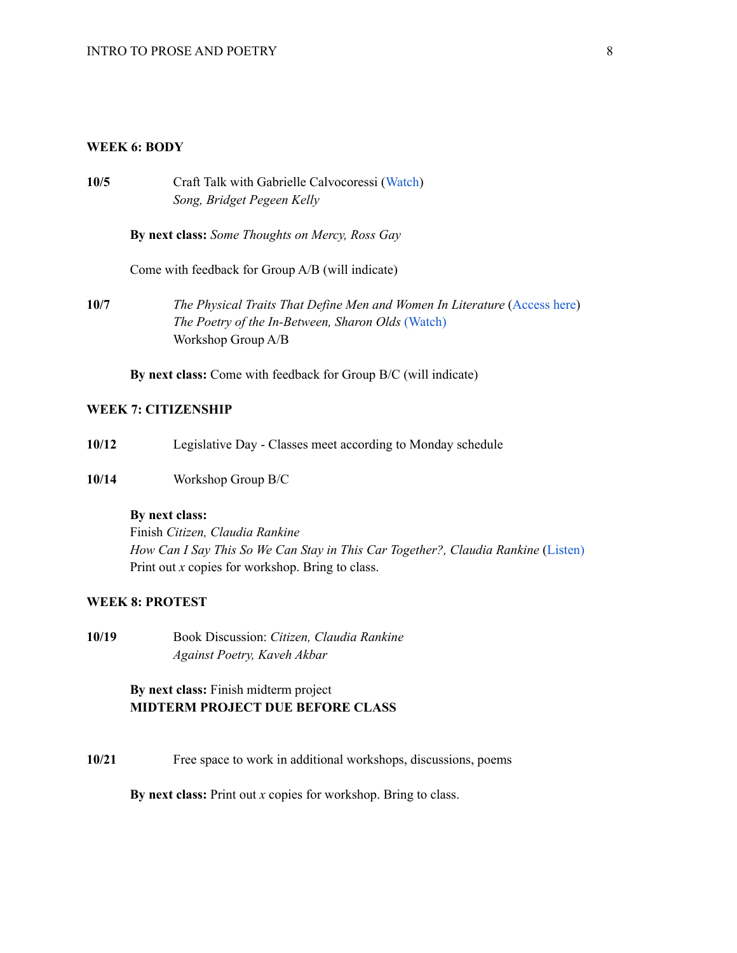### **WEEK 6: BODY**

**10/5** Craft Talk with Gabrielle Calvocoressi ([Watch](https://vimeo.com/225307609)) *Song, Bridget Pegeen Kelly*

**By next class:** *Some Thoughts on Mercy, Ross Gay*

Come with feedback for Group A/B (will indicate)

**10/7** *The Physical Traits That Define Men and Women In Literature* ([Access](https://pudding.cool/2020/07/gendered-descriptions/) here) *The Poetry of the In-Between, Sharon Olds* [\(Watch\)](https://www.youtube.com/watch?v=Rrb_MK0lkkM) Workshop Group A/B

**By next class:** Come with feedback for Group B/C (will indicate)

### **WEEK 7: CITIZENSHIP**

- **10/12** Legislative Day Classes meet according to Monday schedule
- **10/14** Workshop Group B/C

#### **By next class:**

Finish *Citizen, Claudia Rankine How Can I Say This So We Can Stay in This Car Together?, Claudia Rankine* ([Listen\)](https://onbeing.org/programs/claudia-rankine-how-can-i-say-this-so-we-can-stay-in-this-car-together-jan2019/) Print out *x* copies for workshop. Bring to class.

### **WEEK 8: PROTEST**

**10/19** Book Discussion: *Citizen, Claudia Rankine Against Poetry, Kaveh Akbar*

# **By next class:** Finish midterm project **MIDTERM PROJECT DUE BEFORE CLASS**

**10/21** Free space to work in additional workshops, discussions, poems

**By next class:** Print out *x* copies for workshop. Bring to class.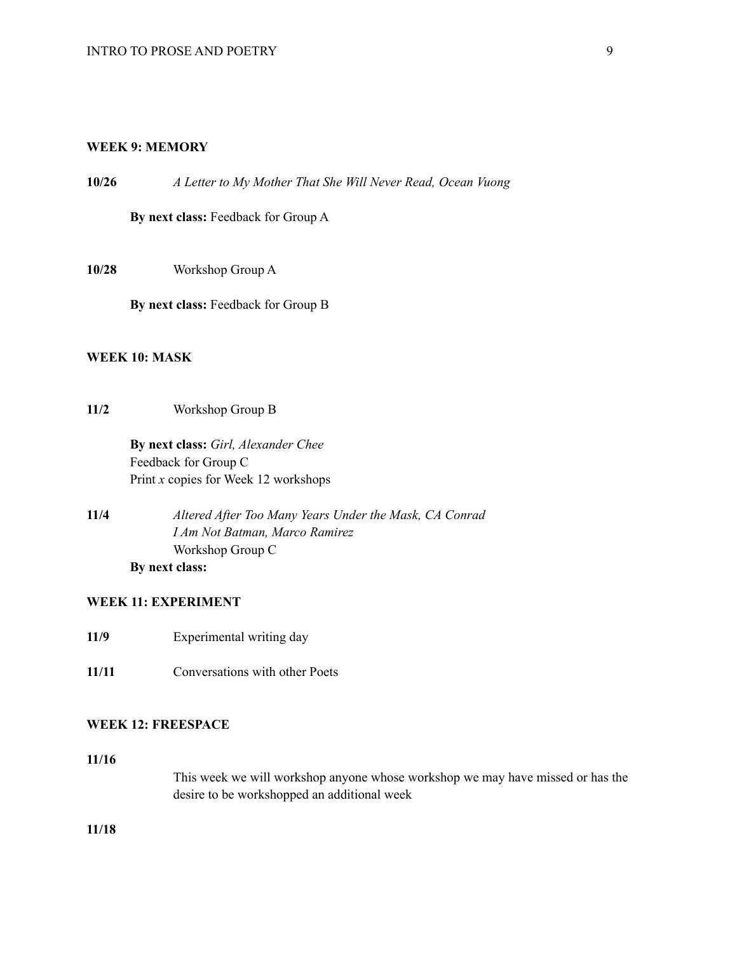### **WEEK 9: MEMORY**

**10/26** *A Letter to My Mother That She Will Never Read, Ocean Vuong*

**By next class:** Feedback for Group A

**10/28** Workshop Group A

**By next class:** Feedback for Group B

# **WEEK 10: MASK**

**11/2** Workshop Group B

**By next class:** *Girl, Alexander Chee* Feedback for Group C Print *x* copies for Week 12 workshops

**11/4** *Altered After Too Many Years Under the Mask, CA Conrad I Am Not Batman, Marco Ramirez* Workshop Group C **By next class:**

### **WEEK 11: EXPERIMENT**

**11/9** Experimental writing day

**11/11** Conversations with other Poets

### **WEEK 12: FREESPACE**

**11/16**

This week we will workshop anyone whose workshop we may have missed or has the desire to be workshopped an additional week

**11/18**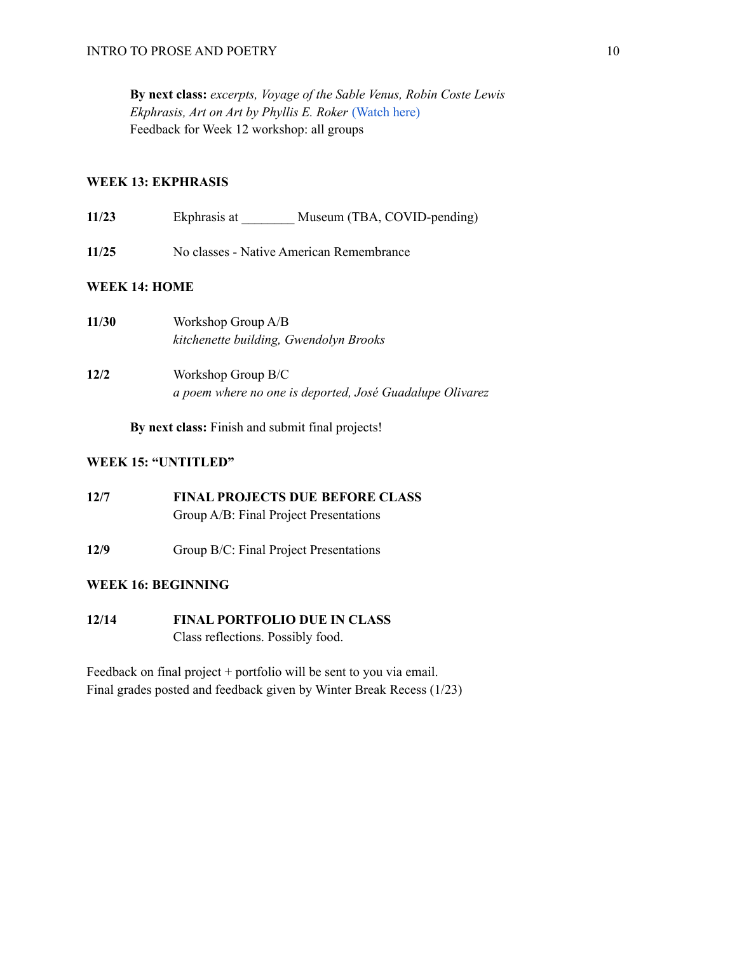**By next class:** *excerpts, Voyage of the Sable Venus, Robin Coste Lewis Ekphrasis, Art on Art by Phyllis E. Roker* [\(Watch](https://www.youtube.com/watch?v=FXCZkz3F0qE) here) Feedback for Week 12 workshop: all groups

# **WEEK 13: EKPHRASIS**

**11/23** Ekphrasis at Museum (TBA, COVID-pending)

**11/25** No classes - Native American Remembrance

# **WEEK 14: HOME**

| 11/30 | Workshop Group A/B<br>kitchenette building, Gwendolyn Brooks                   |
|-------|--------------------------------------------------------------------------------|
| 12/2  | Workshop Group B/C<br>a poem where no one is deported, José Guadalupe Olivarez |

**By next class:** Finish and submit final projects!

# **WEEK 15: "UNTITLED"**

- **12/7 FINAL PROJECTS DUE BEFORE CLASS** Group A/B: Final Project Presentations
- **12/9** Group B/C: Final Project Presentations

# **WEEK 16: BEGINNING**

**12/14 FINAL PORTFOLIO DUE IN CLASS** Class reflections. Possibly food.

Feedback on final project + portfolio will be sent to you via email. Final grades posted and feedback given by Winter Break Recess (1/23)